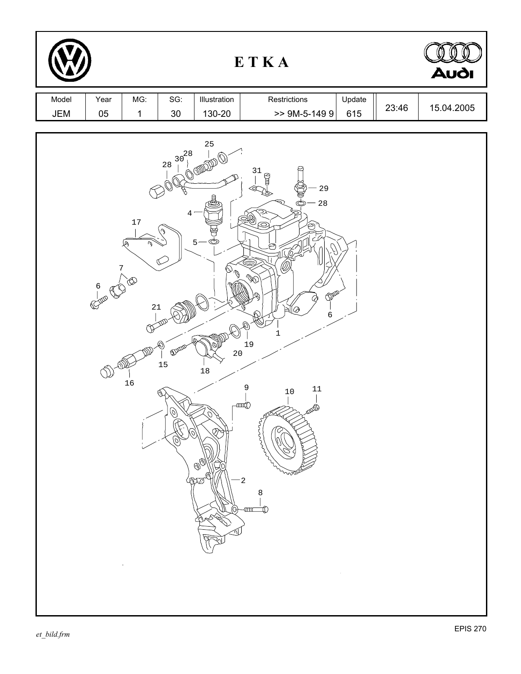|              |                         |                                                                         |                                                                      |                                                                                                         | ETKA                                                                                                                                                                                                                                 |               |       | <b>Audi</b> |
|--------------|-------------------------|-------------------------------------------------------------------------|----------------------------------------------------------------------|---------------------------------------------------------------------------------------------------------|--------------------------------------------------------------------------------------------------------------------------------------------------------------------------------------------------------------------------------------|---------------|-------|-------------|
| Model<br>JEM | Year<br>05              | MG:<br>$\mathbf 1$                                                      | SG:<br>$30\,$                                                        | Illustration<br>130-20                                                                                  | Restrictions<br>$>>$ 9M-5-149 9                                                                                                                                                                                                      | Update<br>615 | 23:46 | 15.04.2005  |
|              | $\frac{6}{1}$<br>COLLED | $17$<br>ঙ্<br>v<br>$\frac{7}{1}$<br>$\sum_{n=1}^{\infty}$<br>21<br>$16$ | $30^{28}$<br>$2\sqrt{8}$<br>4<br><b>SULLED</b><br>15<br>U<br>O<br>6) | $25\,$<br>5 <sub>o</sub><br>હ<br>$\bigcirc^{\mathcal{O}}\mathcal{O}$<br>20<br>$18\,$<br>O.<br>Ø,<br>OXO | 31<br>$\beta$<br>29<br>⊲<br>$2\,8$<br>$\overline{\mathbb{Q}}$<br>$\otimes$<br>ڪم<br>$\otimes$<br>0p<br>∖মুঁও<br>6<br>$\mathbf{1}$<br>19<br>9<br>$11\,$<br>$10$<br>-anağ<br>$\xi$<br>ᡃ᠊ᡃᡐᢆᡢ <sup>ᢣ</sup><br>2<br>8<br><u>ama</u><br>₶ |               |       |             |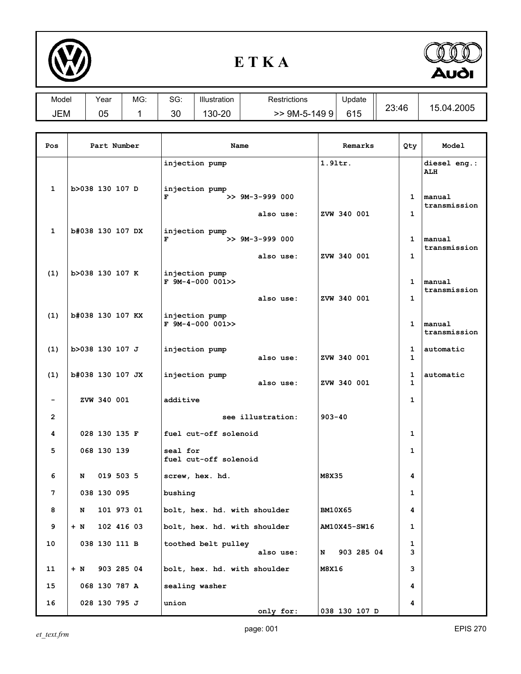

## **E T K A**



| Model | Year | MG: | $\sim$<br>ას: | Illustration | Restrictions        | Update |       |              |
|-------|------|-----|---------------|--------------|---------------------|--------|-------|--------------|
| JEM   | 05   |     | ററ<br>υc      | 130-20       | 9M-5-149<br>9<br>>> | 615    | 23:46 | 04.2005<br>ᇺ |

| Pos                      | Part Number       | Name                                                  | Remarks         | Qty               | Model                      |
|--------------------------|-------------------|-------------------------------------------------------|-----------------|-------------------|----------------------------|
|                          |                   | injection pump                                        | $1.91$ tr.      |                   | diesel eng.:<br><b>ALH</b> |
| 1                        | b>038 130 107 D   | injection pump<br>$>> 9M-3-999 000$<br>F<br>also use: | ZVW 340 001     | 1<br>$\mathbf{1}$ | manual<br>transmission     |
| 1                        | b#038 130 107 DX  | injection pump<br>$>> 9M-3-999000$<br>F<br>also use:  | ZVW 340 001     | 1<br>$\mathbf{1}$ | manual<br>transmission     |
| (1)                      | b>038 130 107 K   | injection pump<br>$F$ 9M-4-000 001>><br>also use:     | ZVW 340 001     | 1<br>1            | manual<br>transmission     |
| (1)                      | b#038 130 107 KX  | injection pump<br>$F$ 9M-4-000 001>>                  |                 | $\mathbf{1}$      | manual<br>transmission     |
| (1)                      | b>038 130 107 J   | injection pump<br>also use:                           | ZVW 340 001     | 1<br>1            | automatic                  |
| (1)                      | b#038 130 107 JX  | injection pump<br>also use:                           | ZVW 340 001     | 1<br>$\mathbf{1}$ | automatic                  |
| $\overline{\phantom{a}}$ | ZVW 340 001       | additive                                              |                 | 1                 |                            |
| $\mathbf{2}$             |                   | see illustration:                                     | $903 - 40$      |                   |                            |
| 4                        | 028 130 135 F     | fuel cut-off solenoid                                 |                 | 1                 |                            |
| 5                        | 068 130 139       | seal for<br>fuel cut-off solenoid                     |                 | 1                 |                            |
| 6                        | 019 503 5<br>N    | screw, hex. hd.                                       | M8X35           | 4                 |                            |
| 7                        | 038 130 095       | bushing                                               |                 | 1                 |                            |
| 8                        | N<br>101 973 01   | bolt, hex. hd. with shoulder                          | <b>BM10X65</b>  | 4                 |                            |
| 9                        | 102 416 03<br>+ N | bolt, hex. hd. with shoulder                          | AM10X45-SW16    | 1                 |                            |
| 10                       | 038 130 111 B     | toothed belt pulley<br>also use:                      | 903 285 04<br>N | 1<br>3            |                            |
| 11                       | 903 285 04<br>+ N | bolt, hex. hd. with shoulder                          | M8X16           | 3                 |                            |
| 15                       | 068 130 787 A     | sealing washer                                        |                 | 4                 |                            |
| 16                       | 028 130 795 J     | union<br>only for:                                    | 038 130 107 D   | 4                 |                            |